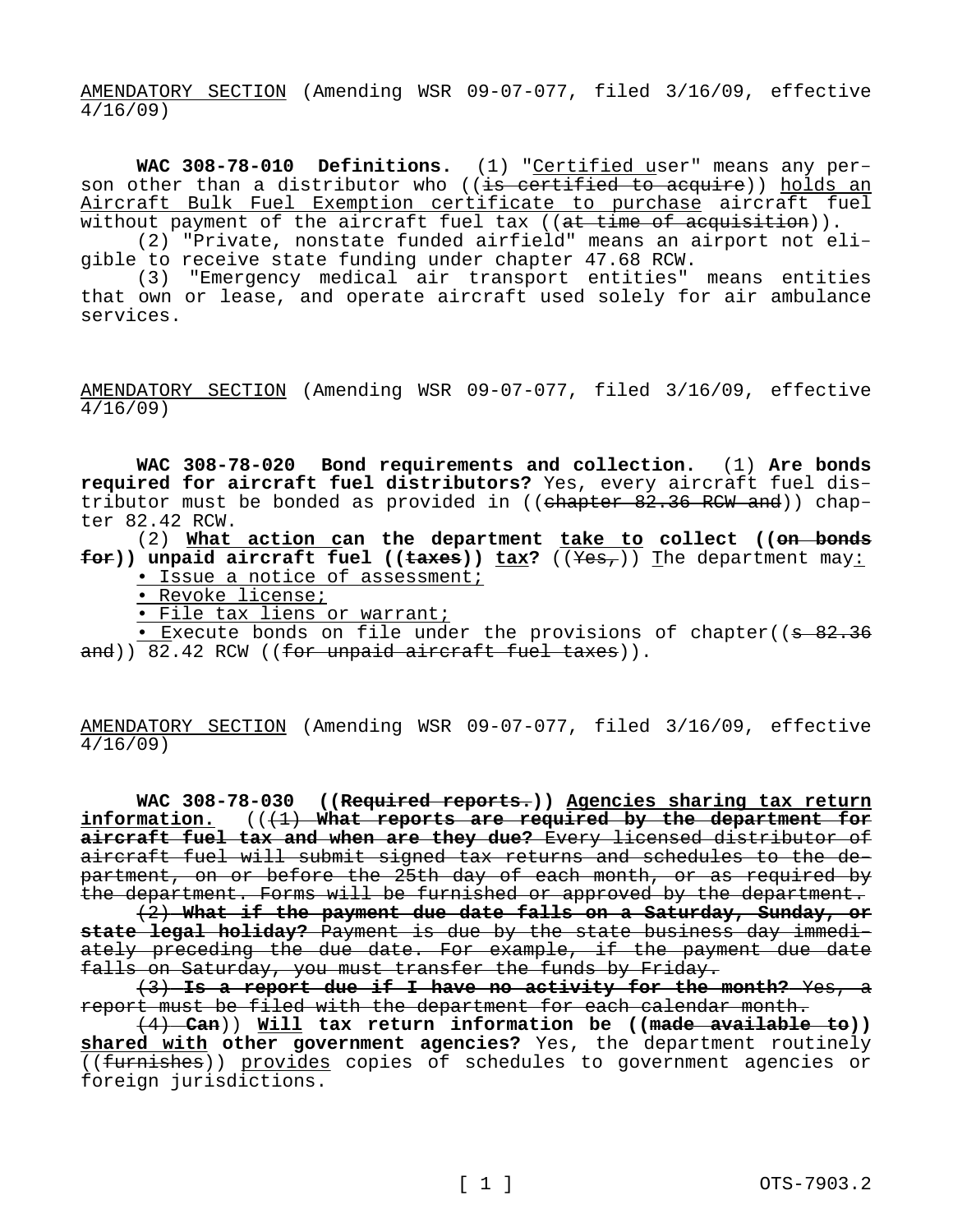AMENDATORY SECTION (Amending WSR 09-07-077, filed 3/16/09, effective 4/16/09)

**WAC 308-78-010 Definitions.** (1) "Certified user" means any person other than a distributor who ((is certified to acquire)) holds an Aircraft Bulk Fuel Exemption certificate to purchase aircraft fuel without payment of the aircraft fuel tax ((at time of acquisition)).

(2) "Private, nonstate funded airfield" means an airport not eligible to receive state funding under chapter 47.68 RCW.

(3) "Emergency medical air transport entities" means entities that own or lease, and operate aircraft used solely for air ambulance services.

AMENDATORY SECTION (Amending WSR 09-07-077, filed 3/16/09, effective 4/16/09)

**WAC 308-78-020 Bond requirements and collection.** (1) **Are bonds required for aircraft fuel distributors?** Yes, every aircraft fuel distributor must be bonded as provided in (( $e$ hapter 82.36 RCW and)) chapter 82.42 RCW.

(2) **What action can the department take to collect ((on bonds for))** unpaid aircraft fuel (( $\frac{1}{k}$ ) tax? ( $\frac{1}{k+1}$ ) The department may:

- Issue a notice of assessment;
- Revoke license;

• File tax liens or warrant;

• Execute bonds on file under the provisions of chapter((s 82.36) and)) 82.42 RCW ((for unpaid aircraft fuel taxes)).

AMENDATORY SECTION (Amending WSR 09-07-077, filed 3/16/09, effective 4/16/09)

**WAC 308-78-030 ((Required reports.)) Agencies sharing tax return**  information.  $((1)$  What reports are required by the department for **aircraft fuel tax and when are they due?** Every licensed distributor of aircraft fuel will submit signed tax returns and schedules to the department, on or before the 25th day of each month, or as required by the department. Forms will be furnished or approved by the department.

(2) **What if the payment due date falls on a Saturday, Sunday, or state legal holiday?** Payment is due by the state business day immediately preceding the due date. For example, if the payment due date falls on Saturday, you must transfer the funds by Friday.

(3) **Is a report due if I have no activity for the month?** Yes, a report must be filed with the department for each calendar month.

(4) **Can**)) **Will tax return information be ((made available to)) shared with other government agencies?** Yes, the department routinely ((furnishes)) provides copies of schedules to government agencies or foreign jurisdictions.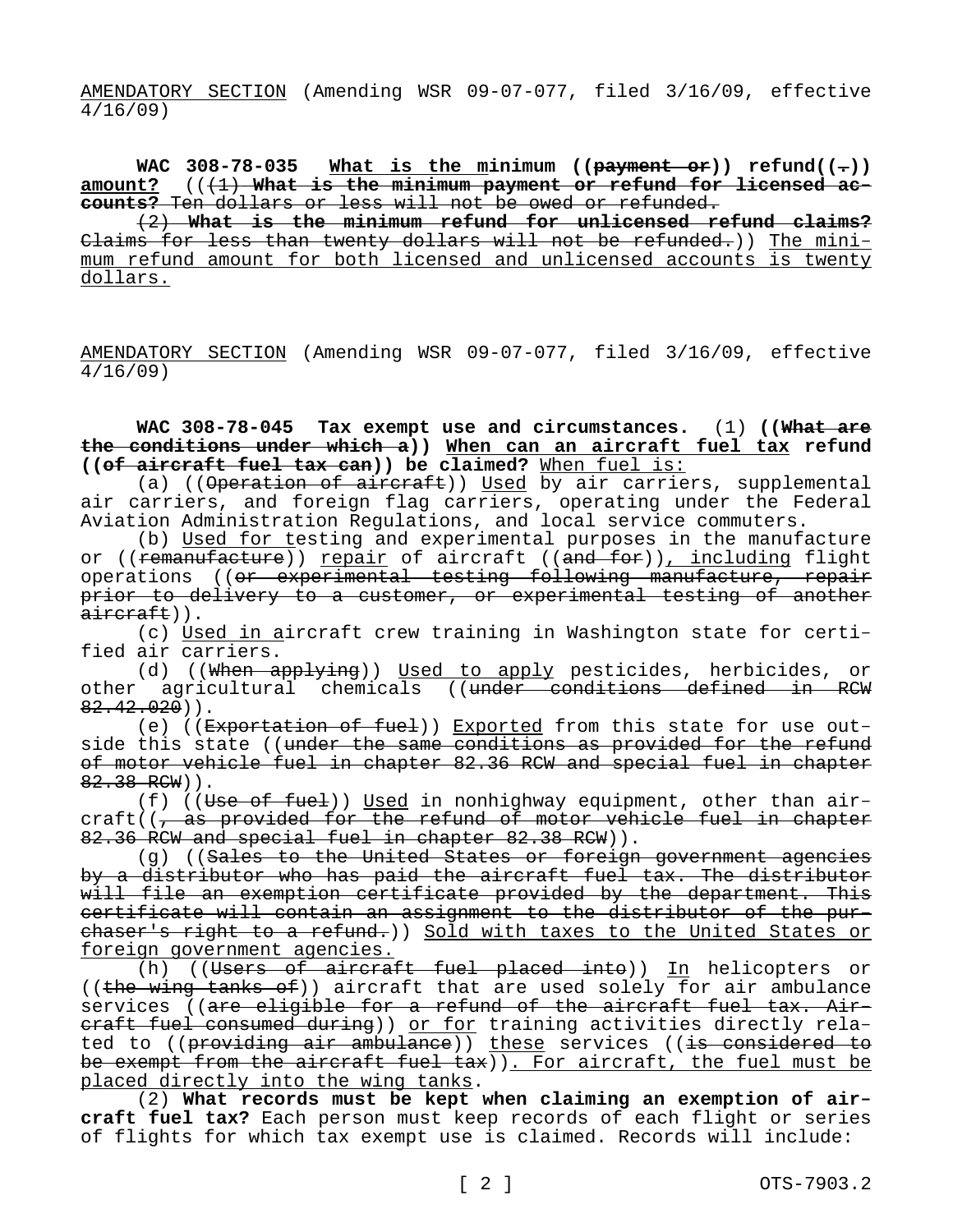AMENDATORY SECTION (Amending WSR 09-07-077, filed 3/16/09, effective 4/16/09)

WAC 308-78-035 What is the minimum ((payment or)) refund( $(-)$ ) amount? (( $(1)$ ) What is the minimum payment or refund for licensed ac**counts?** Ten dollars or less will not be owed or refunded.

(2) **What is the minimum refund for unlicensed refund claims?**  Claims for less than twenty dollars will not be refunded.)) The minimum refund amount for both licensed and unlicensed accounts is twenty dollars.

AMENDATORY SECTION (Amending WSR 09-07-077, filed 3/16/09, effective 4/16/09)

**WAC 308-78-045 Tax exempt use and circumstances.** (1) **((What are the conditions under which a)) When can an aircraft fuel tax refund ((of aircraft fuel tax can)) be claimed?** When fuel is:

(a) (( $\theta$  peration of aircraft)) Used by air carriers, supplemental air carriers, and foreign flag carriers, operating under the Federal Aviation Administration Regulations, and local service commuters.

(b) Used for testing and experimental purposes in the manufacture or ((remanufacture)) repair of aircraft ((and for)), including flight operations ((or experimental testing following manufacture, repair prior to delivery to a customer, or experimental testing of another aircraft)).

(c) Used in aircraft crew training in Washington state for certified air carriers.

(d) ((When applying)) Used to apply pesticides, herbicides, or other agricultural chemicals ((under conditions defined in RCW  $82.42.020)$ .

(e) (( $Exportation of fuel$ )) Exported from this state for use outside this state ((under the same conditions as provided for the refund of motor vehicle fuel in chapter 82.36 RCW and special fuel in chapter 82.38 RCW)).

(f) ((Use of fuel)) Used in nonhighway equipment, other than  $air$  $craft$ ( $\frac{1}{1}$  as provided for the refund of motor vehicle fuel in chapter 82.36 RCW and special fuel in chapter 82.38 RCW)).

(g) ((Sales to the United States or foreign government agencies by a distributor who has paid the aircraft fuel tax. The distributor will file an exemption certificate provided by the department. This certificate will contain an assignment to the distributor of the purchaser's right to a refund.)) Sold with taxes to the United States or foreign government agencies.

(h) ((Users of aircraft fuel placed into)) In helicopters or ((the wing tanks of)) aircraft that are used solely for air ambulance services ((are eligible for a refund of the aircraft fuel tax. Aireraft fuel consumed during)) or for training activities directly related to ((providing air ambulance)) these services ((is considered to be exempt from the aircraft fuel  $\tan x$ )). For aircraft, the fuel must be placed directly into the wing tanks.

(2) **What records must be kept when claiming an exemption of aircraft fuel tax?** Each person must keep records of each flight or series of flights for which tax exempt use is claimed. Records will include: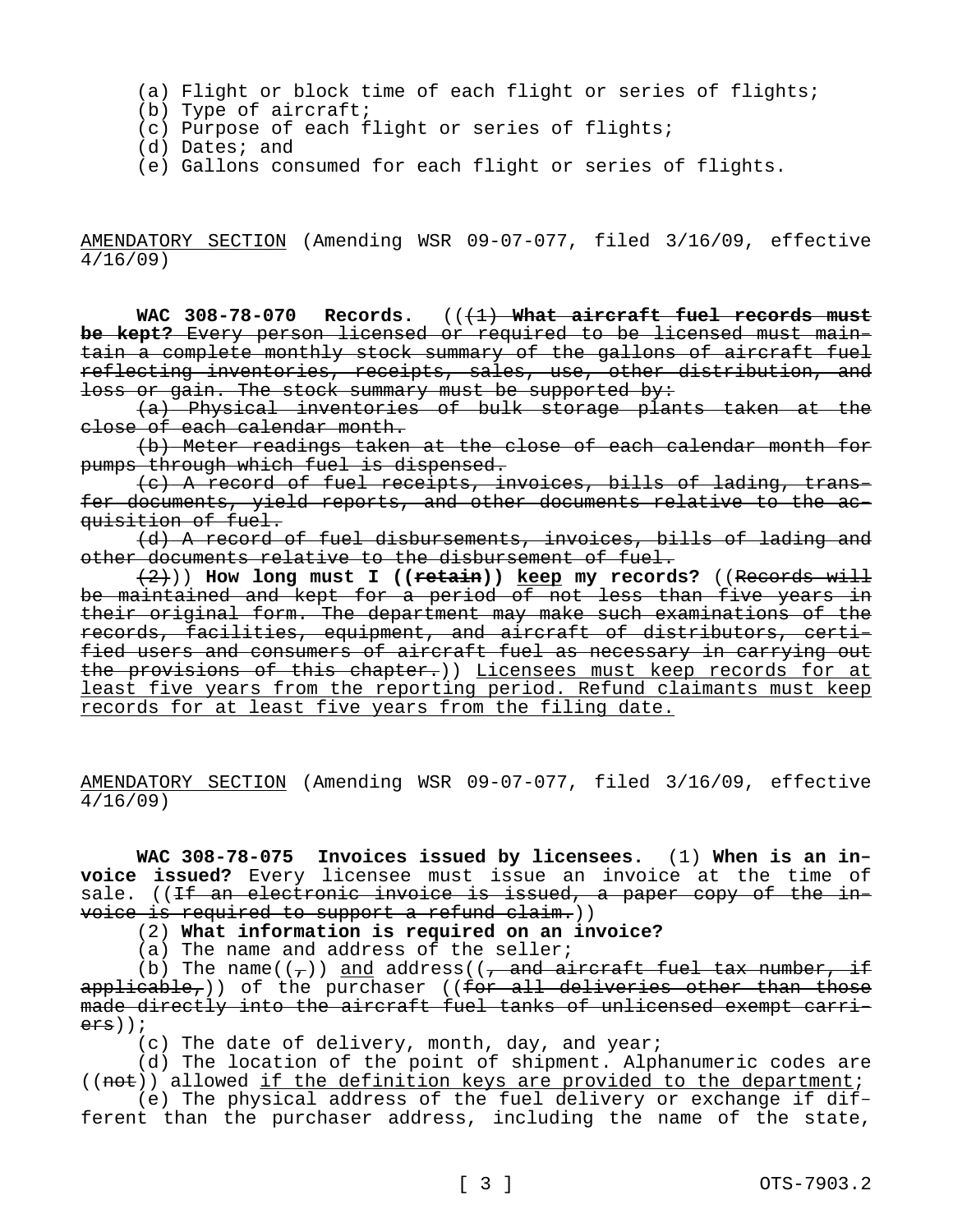- (a) Flight or block time of each flight or series of flights;
- (b) Type of aircraft;
- (c) Purpose of each flight or series of flights;
- (d) Dates; and
- (e) Gallons consumed for each flight or series of flights.

AMENDATORY SECTION (Amending WSR 09-07-077, filed 3/16/09, effective 4/16/09)

WAC 308-78-070 Records.  $((+1)$  What aircraft fuel records must **be kept?** Every person licensed or required to be licensed must maintain a complete monthly stock summary of the gallons of aircraft fuel reflecting inventories, receipts, sales, use, other distribution, and loss or gain. The stock summary must be supported by:

(a) Physical inventories of bulk storage plants taken at the close of each calendar month.

(b) Meter readings taken at the close of each calendar month for pumps through which fuel is dispensed.

(c) A record of fuel receipts, invoices, bills of lading, transfer documents, yield reports, and other documents relative to the acquisition of fuel.

(d) A record of fuel disbursements, invoices, bills of lading and other documents relative to the disbursement of fuel.

(2))) **How long must I ((retain)) keep my records?** ((Records will be maintained and kept for a period of not less than five years in their original form. The department may make such examinations of the records, facilities, equipment, and aircraft of distributors, certified users and consumers of aircraft fuel as necessary in carrying out the provisions of this chapter.)) Licensees must keep records for at least five years from the reporting period. Refund claimants must keep records for at least five years from the filing date.

AMENDATORY SECTION (Amending WSR 09-07-077, filed 3/16/09, effective 4/16/09)

**WAC 308-78-075 Invoices issued by licensees.** (1) **When is an invoice issued?** Every licensee must issue an invoice at the time of sale. ((If an electronic invoice is issued, a paper copy of the invoice is required to support a refund claim.))

(2) **What information is required on an invoice?**

(a) The name and address of the seller;

(b) The name( $(\tau)$ ) and address( $(\tau)$  and aircraft fuel tax number, if  $applicate,)$ ) of the purchaser ((for all deliveries other than those made directly into the aircraft fuel tanks of unlicensed exempt carriers));

(c) The date of delivery, month, day, and year;

(d) The location of the point of shipment. Alphanumeric codes are  $((not) )$  allowed if the definition keys are provided to the department;

(e) The physical address of the fuel delivery or exchange if different than the purchaser address, including the name of the state,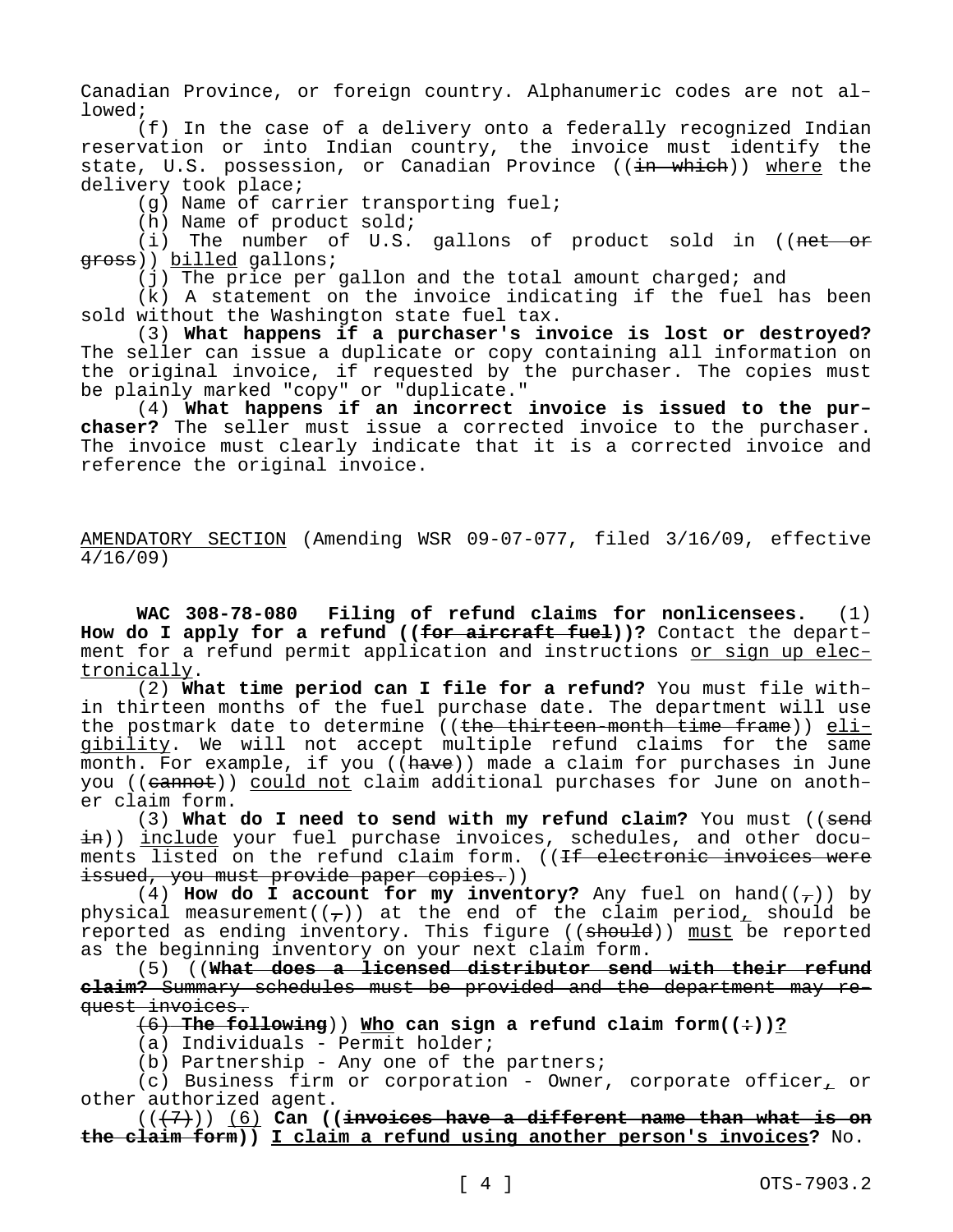Canadian Province, or foreign country. Alphanumeric codes are not allowed;

(f) In the case of a delivery onto a federally recognized Indian reservation or into Indian country, the invoice must identify the state, U.S. possession, or Canadian Province ((in which)) where the delivery took place;

(g) Name of carrier transporting fuel;

(h) Name of product sold;

(i) The number of U.S. gallons of product sold in ((net  $-$ or gross)) billed gallons;

(j) The price per gallon and the total amount charged; and

(k) A statement on the invoice indicating if the fuel has been sold without the Washington state fuel tax.

(3) **What happens if a purchaser's invoice is lost or destroyed?**  The seller can issue a duplicate or copy containing all information on the original invoice, if requested by the purchaser. The copies must be plainly marked "copy" or "duplicate."

(4) **What happens if an incorrect invoice is issued to the purchaser?** The seller must issue a corrected invoice to the purchaser. The invoice must clearly indicate that it is a corrected invoice and reference the original invoice.

AMENDATORY SECTION (Amending WSR 09-07-077, filed 3/16/09, effective 4/16/09)

**WAC 308-78-080 Filing of refund claims for nonlicensees.** (1) How do I apply for a refund ((for aircraft fuel))? Contact the department for a refund permit application and instructions or sign up electronically.

(2) **What time period can I file for a refund?** You must file within thirteen months of the fuel purchase date. The department will use the postmark date to determine ((the thirteen-month time frame)) eligibility. We will not accept multiple refund claims for the same month. For example, if you ( $(\overline{have})$ ) made a claim for purchases in June you ((cannot)) could not claim additional purchases for June on another claim form.

(3) **What do I need to send with my refund claim?** You must ((send in)) include your fuel purchase invoices, schedules, and other documents listed on the refund claim form. ((If electronic invoices were issued, you must provide paper copies.))

(4) **How do I account for my inventory?** Any fuel on hand( $(\tau)$ ) by physical measurement( $(\tau)$ ) at the end of the claim period, should be reported as ending inventory. This figure  $((should) )$  must be reported as the beginning inventory on your next claim form.

(5) ((**What does a licensed distributor send with their refund claim?** Summary schedules must be provided and the department may request invoices.

 $(6)$  **The following**)) Who can sign a refund claim form( $(•)$ )?

(a) Individuals - Permit holder;

(b) Partnership - Any one of the partners;

(c) Business firm or corporation - Owner, corporate officer, or other authorized agent.

(((7))) (6) **Can ((invoices have a different name than what is on the claim form)) I claim a refund using another person's invoices?** No.